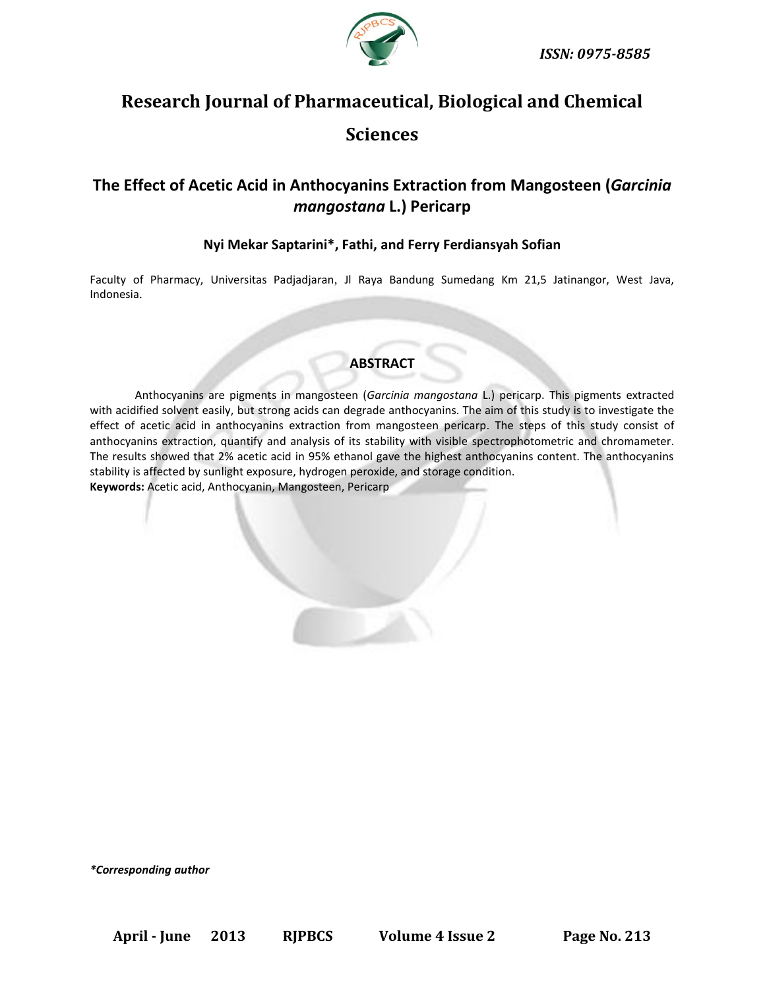

# **Research Journal of Pharmaceutical, Biological and Chemical Sciences**

## **The Effect of Acetic Acid in Anthocyanins Extraction from Mangosteen (***Garcinia mangostana* **L.) Pericarp**

### **Nyi Mekar Saptarini\*, Fathi, and Ferry Ferdiansyah Sofian**

Faculty of Pharmacy, Universitas Padjadjaran, Jl Raya Bandung Sumedang Km 21,5 Jatinangor, West Java, Indonesia.

## **ABSTRACT**

Anthocyanins are pigments in mangosteen (*Garcinia mangostana* L.) pericarp. This pigments extracted with acidified solvent easily, but strong acids can degrade anthocyanins. The aim of this study is to investigate the effect of acetic acid in anthocyanins extraction from mangosteen pericarp. The steps of this study consist of anthocyanins extraction, quantify and analysis of its stability with visible spectrophotometric and chromameter. The results showed that 2% acetic acid in 95% ethanol gave the highest anthocyanins content. The anthocyanins stability is affected by sunlight exposure, hydrogen peroxide, and storage condition. **Keywords:** Acetic acid, Anthocyanin, Mangosteen, Pericarp

*\*Corresponding author*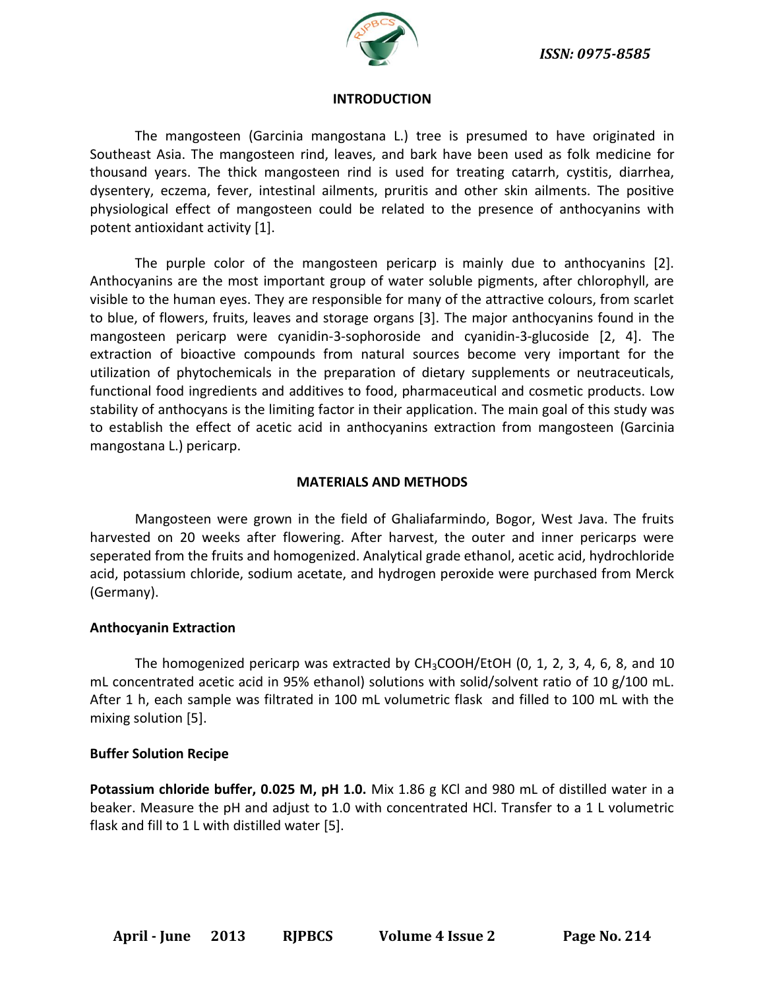

### **INTRODUCTION**

The mangosteen (Garcinia mangostana L.) tree is presumed to have originated in Southeast Asia. The mangosteen rind, leaves, and bark have been used as folk medicine for thousand years. The thick mangosteen rind is used for treating catarrh, cystitis, diarrhea, dysentery, eczema, fever, intestinal ailments, pruritis and other skin ailments. The positive physiological effect of mangosteen could be related to the presence of anthocyanins with potent antioxidant activity [1].

The purple color of the mangosteen pericarp is mainly due to anthocyanins [2]. Anthocyanins are the most important group of water soluble pigments, after chlorophyll, are visible to the human eyes. They are responsible for many of the attractive colours, from scarlet to blue, of flowers, fruits, leaves and storage organs [3]. The major anthocyanins found in the mangosteen pericarp were cyanidin-3-sophoroside and cyanidin-3-glucoside [2, 4]. The extraction of bioactive compounds from natural sources become very important for the utilization of phytochemicals in the preparation of dietary supplements or neutraceuticals, functional food ingredients and additives to food, pharmaceutical and cosmetic products. Low stability of anthocyans is the limiting factor in their application. The main goal of this study was to establish the effect of acetic acid in anthocyanins extraction from mangosteen (Garcinia mangostana L.) pericarp.

#### **MATERIALS AND METHODS**

Mangosteen were grown in the field of Ghaliafarmindo, Bogor, West Java. The fruits harvested on 20 weeks after flowering. After harvest, the outer and inner pericarps were seperated from the fruits and homogenized. Analytical grade ethanol, acetic acid, hydrochloride acid, potassium chloride, sodium acetate, and hydrogen peroxide were purchased from Merck (Germany).

### **Anthocyanin Extraction**

The homogenized pericarp was extracted by  $CH<sub>3</sub>COOH/EtOH$  (0, 1, 2, 3, 4, 6, 8, and 10 mL concentrated acetic acid in 95% ethanol) solutions with solid/solvent ratio of 10 g/100 mL. After 1 h, each sample was filtrated in 100 mL volumetric flask and filled to 100 mL with the mixing solution [5].

### **Buffer Solution Recipe**

**Potassium chloride buffer, 0.025 M, pH 1.0.** Mix 1.86 g KCl and 980 mL of distilled water in a beaker. Measure the pH and adjust to 1.0 with concentrated HCl. Transfer to a 1 L volumetric flask and fill to 1 L with distilled water [5].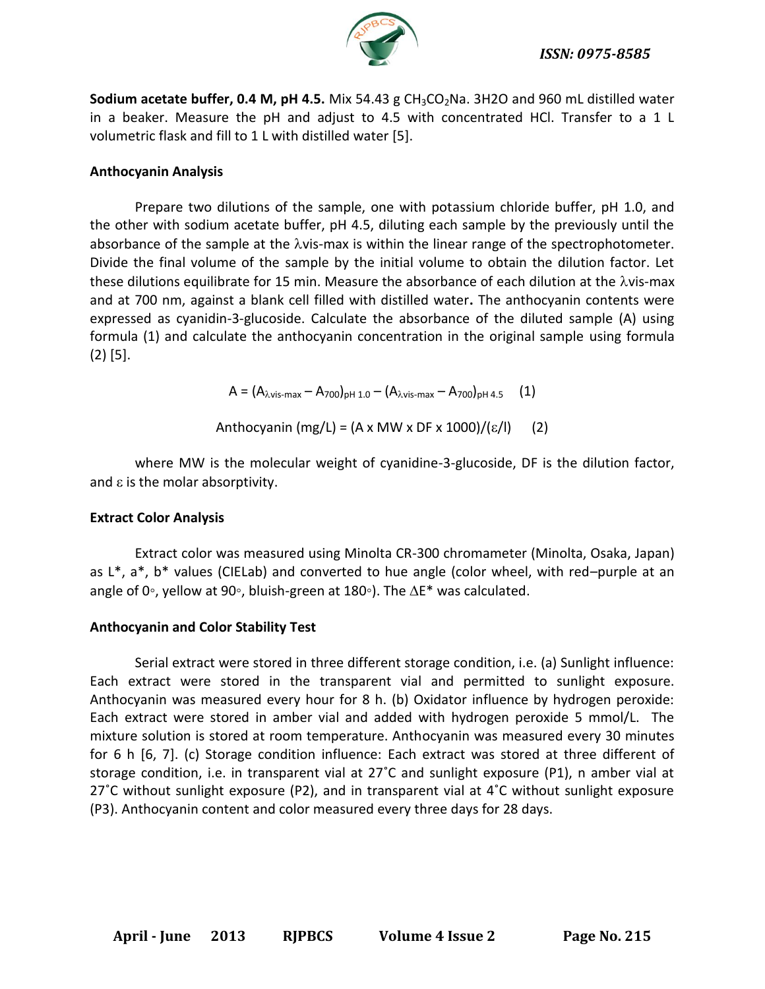

**Sodium acetate buffer, 0.4 M, pH 4.5.** Mix 54.43 g CH<sub>3</sub>CO<sub>2</sub>Na. 3H2O and 960 mL distilled water in a beaker. Measure the pH and adjust to 4.5 with concentrated HCl. Transfer to a 1 L volumetric flask and fill to 1 L with distilled water [5].

## **Anthocyanin Analysis**

Prepare two dilutions of the sample, one with potassium chloride buffer, pH 1.0, and the other with sodium acetate buffer, pH 4.5, diluting each sample by the previously until the absorbance of the sample at the  $\lambda$ vis-max is within the linear range of the spectrophotometer. Divide the final volume of the sample by the initial volume to obtain the dilution factor. Let these dilutions equilibrate for 15 min. Measure the absorbance of each dilution at the  $\lambda$ vis-max and at 700 nm, against a blank cell filled with distilled water**.** The anthocyanin contents were expressed as cyanidin-3-glucoside. Calculate the absorbance of the diluted sample (A) using formula (1) and calculate the anthocyanin concentration in the original sample using formula (2) [5].

 $A = (A_{\lambda \text{vis-max}} - A_{700})_{\text{pH 1.0}} - (A_{\lambda \text{vis-max}} - A_{700})_{\text{pH 4.5}}$  (1)

Anthocyanin (mg/L) = (A x MW x DF x 1000)/( $\varepsilon$ /l) (2)

where MW is the molecular weight of cyanidine-3-glucoside, DF is the dilution factor, and  $\varepsilon$  is the molar absorptivity.

## **Extract Color Analysis**

Extract color was measured using Minolta CR-300 chromameter (Minolta, Osaka, Japan) as L\*, a\*, b\* values (CIELab) and converted to hue angle (color wheel, with red–purple at an angle of 0∘, yellow at 90∘, bluish-green at 180∘). The  $\Delta E^*$  was calculated.

## **Anthocyanin and Color Stability Test**

Serial extract were stored in three different storage condition, i.e. (a) Sunlight influence: Each extract were stored in the transparent vial and permitted to sunlight exposure. Anthocyanin was measured every hour for 8 h. (b) Oxidator influence by hydrogen peroxide: Each extract were stored in amber vial and added with hydrogen peroxide 5 mmol/L. The mixture solution is stored at room temperature. Anthocyanin was measured every 30 minutes for 6 h [6, 7]. (c) Storage condition influence: Each extract was stored at three different of storage condition, i.e. in transparent vial at 27˚C and sunlight exposure (P1), n amber vial at 27˚C without sunlight exposure (P2), and in transparent vial at 4˚C without sunlight exposure (P3). Anthocyanin content and color measured every three days for 28 days.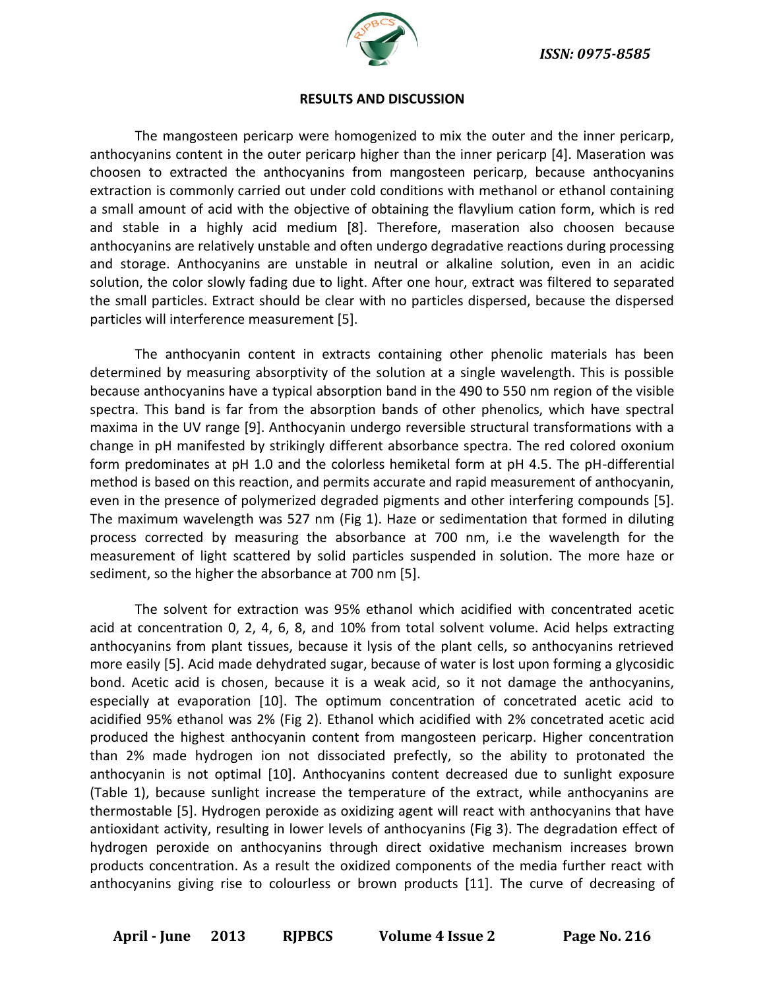

#### **RESULTS AND DISCUSSION**

The mangosteen pericarp were homogenized to mix the outer and the inner pericarp, anthocyanins content in the outer pericarp higher than the inner pericarp [4]. Maseration was choosen to extracted the anthocyanins from mangosteen pericarp, because anthocyanins extraction is commonly carried out under cold conditions with methanol or ethanol containing a small amount of acid with the objective of obtaining the flavylium cation form, which is red and stable in a highly acid medium [8]. Therefore, maseration also choosen because anthocyanins are relatively unstable and often undergo degradative reactions during processing and storage. Anthocyanins are unstable in neutral or alkaline solution, even in an acidic solution, the color slowly fading due to light. After one hour, extract was filtered to separated the small particles. Extract should be clear with no particles dispersed, because the dispersed particles will interference measurement [5].

The anthocyanin content in extracts containing other phenolic materials has been determined by measuring absorptivity of the solution at a single wavelength. This is possible because anthocyanins have a typical absorption band in the 490 to 550 nm region of the visible spectra. This band is far from the absorption bands of other phenolics, which have spectral maxima in the UV range [9]. Anthocyanin undergo reversible structural transformations with a change in pH manifested by strikingly different absorbance spectra. The red colored oxonium form predominates at pH 1.0 and the colorless hemiketal form at pH 4.5. The pH-differential method is based on this reaction, and permits accurate and rapid measurement of anthocyanin, even in the presence of polymerized degraded pigments and other interfering compounds [5]. The maximum wavelength was 527 nm (Fig 1). Haze or sedimentation that formed in diluting process corrected by measuring the absorbance at 700 nm, i.e the wavelength for the measurement of light scattered by solid particles suspended in solution. The more haze or sediment, so the higher the absorbance at 700 nm [5].

The solvent for extraction was 95% ethanol which acidified with concentrated acetic acid at concentration 0, 2, 4, 6, 8, and 10% from total solvent volume. Acid helps extracting anthocyanins from plant tissues, because it lysis of the plant cells, so anthocyanins retrieved more easily [5]. Acid made dehydrated sugar, because of water is lost upon forming a glycosidic bond. Acetic acid is chosen, because it is a weak acid, so it not damage the anthocyanins, especially at evaporation [10]. The optimum concentration of concetrated acetic acid to acidified 95% ethanol was 2% (Fig 2). Ethanol which acidified with 2% concetrated acetic acid produced the highest anthocyanin content from mangosteen pericarp. Higher concentration than 2% made hydrogen ion not dissociated prefectly, so the ability to protonated the anthocyanin is not optimal [10]. Anthocyanins content decreased due to sunlight exposure (Table 1), because sunlight increase the temperature of the extract, while anthocyanins are thermostable [5]. Hydrogen peroxide as oxidizing agent will react with anthocyanins that have antioxidant activity, resulting in lower levels of anthocyanins (Fig 3). The degradation effect of hydrogen peroxide on anthocyanins through direct oxidative mechanism increases brown products concentration. As a result the oxidized components of the media further react with anthocyanins giving rise to colourless or brown products [11]. The curve of decreasing of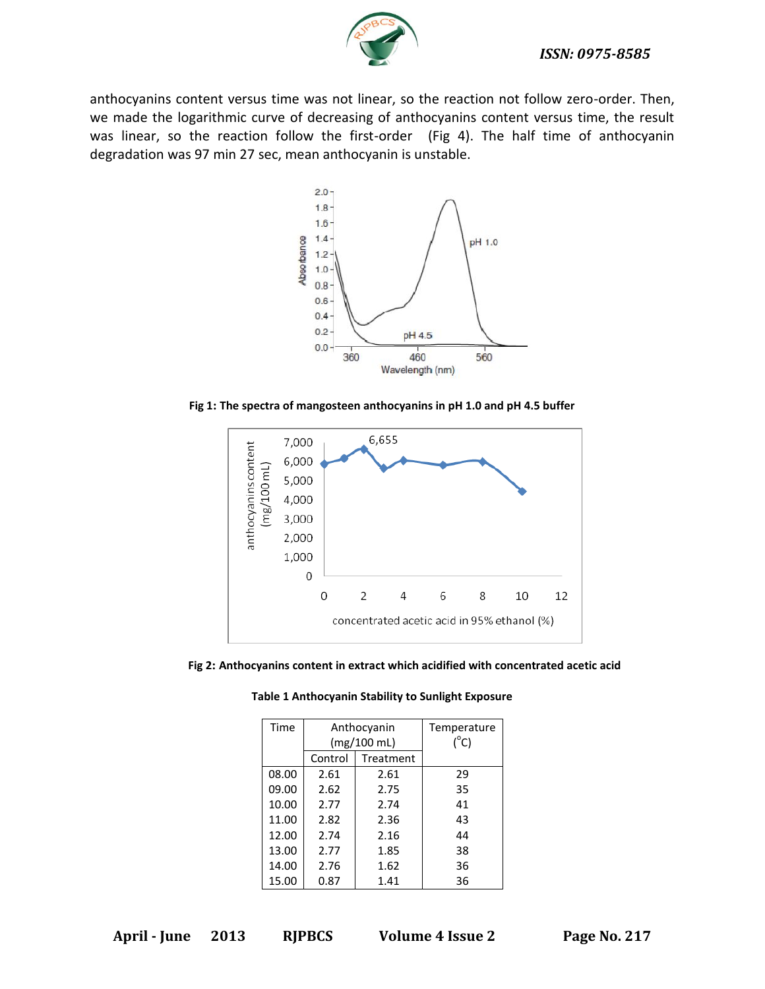

anthocyanins content versus time was not linear, so the reaction not follow zero-order. Then, we made the logarithmic curve of decreasing of anthocyanins content versus time, the result was linear, so the reaction follow the first-order (Fig 4). The half time of anthocyanin degradation was 97 min 27 sec, mean anthocyanin is unstable.



**Fig 1: The spectra of mangosteen anthocyanins in pH 1.0 and pH 4.5 buffer**



**Fig 2: Anthocyanins content in extract which acidified with concentrated acetic acid**

| Time  |             | Anthocyanin | Temperature   |
|-------|-------------|-------------|---------------|
|       | (mg/100 mL) |             | $(^{\circ}C)$ |
|       | Control     | Treatment   |               |
| 08.00 | 2.61        | 2.61        | 29            |
| 09.00 | 2.62        | 2.75        | 35            |
| 10.00 | 2.77        | 2.74        | 41            |
| 11.00 | 2.82        | 2.36        | 43            |
| 12.00 | 2.74        | 2.16        | 44            |
| 13.00 | 2.77        | 1.85        | 38            |
| 14.00 | 2.76        | 1.62        | 36            |
| 15.00 | 0.87        | 1.41        | 36            |

**Table 1 Anthocyanin Stability to Sunlight Exposure**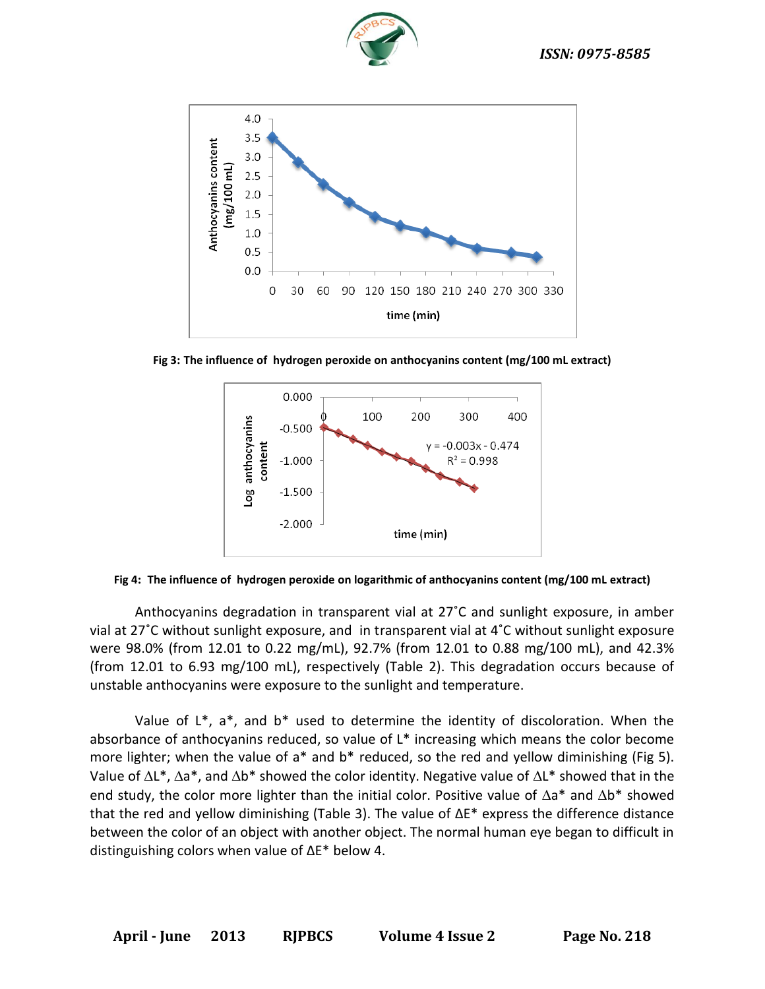



**Fig 3: The influence of hydrogen peroxide on anthocyanins content (mg/100 mL extract)**



**Fig 4: The influence of hydrogen peroxide on logarithmic of anthocyanins content (mg/100 mL extract)**

Anthocyanins degradation in transparent vial at 27˚C and sunlight exposure, in amber vial at 27˚C without sunlight exposure, and in transparent vial at 4˚C without sunlight exposure were 98.0% (from 12.01 to 0.22 mg/mL), 92.7% (from 12.01 to 0.88 mg/100 mL), and 42.3% (from 12.01 to 6.93 mg/100 mL), respectively (Table 2). This degradation occurs because of unstable anthocyanins were exposure to the sunlight and temperature.

Value of  $L^*$ ,  $a^*$ , and  $b^*$  used to determine the identity of discoloration. When the absorbance of anthocyanins reduced, so value of L\* increasing which means the color become more lighter; when the value of a<sup>\*</sup> and b<sup>\*</sup> reduced, so the red and yellow diminishing (Fig 5). Value of  $\Delta L^*$ ,  $\Delta a^*$ , and  $\Delta b^*$  showed the color identity. Negative value of  $\Delta L^*$  showed that in the end study, the color more lighter than the initial color. Positive value of  $\Delta a^*$  and  $\Delta b^*$  showed that the red and yellow diminishing (Table 3). The value of ΔE\* express the difference distance between the color of an object with another object. The normal human eye began to difficult in distinguishing colors when value of ΔE\* below 4.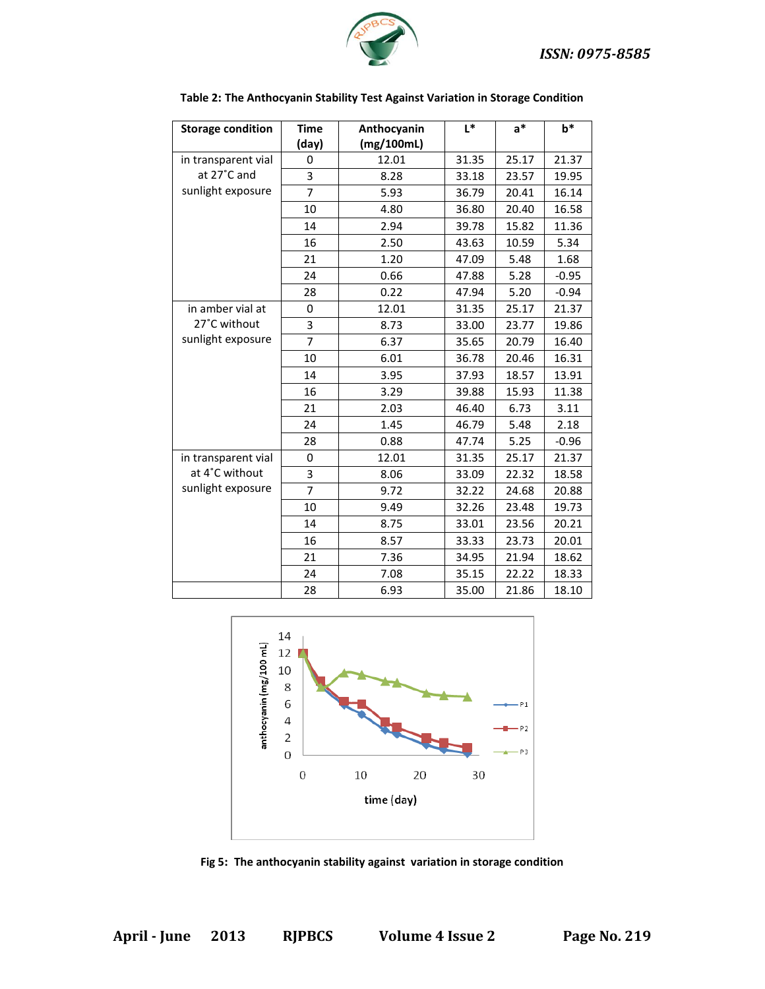

| <b>Storage condition</b> | <b>Time</b>    | Anthocyanin | $L^*$ | $a^*$ | $b*$    |
|--------------------------|----------------|-------------|-------|-------|---------|
|                          | (day)          | (mg/100mL)  |       |       |         |
| in transparent vial      | 0              | 12.01       | 31.35 | 25.17 | 21.37   |
| at 27°C and              | 3              | 8.28        | 33.18 | 23.57 | 19.95   |
| sunlight exposure        | 7              | 5.93        | 36.79 | 20.41 | 16.14   |
|                          | 10             | 4.80        | 36.80 | 20.40 | 16.58   |
|                          | 14             | 2.94        | 39.78 | 15.82 | 11.36   |
|                          | 16             | 2.50        | 43.63 | 10.59 | 5.34    |
|                          | 21             | 1.20        | 47.09 | 5.48  | 1.68    |
|                          | 24             | 0.66        | 47.88 | 5.28  | $-0.95$ |
|                          | 28             | 0.22        | 47.94 | 5.20  | $-0.94$ |
| in amber vial at         | 0              | 12.01       | 31.35 | 25.17 | 21.37   |
| 27°C without             | 3              | 8.73        | 33.00 | 23.77 | 19.86   |
| sunlight exposure        | $\overline{7}$ | 6.37        | 35.65 | 20.79 | 16.40   |
|                          | 10             | 6.01        | 36.78 | 20.46 | 16.31   |
|                          | 14             | 3.95        | 37.93 | 18.57 | 13.91   |
|                          | 16             | 3.29        | 39.88 | 15.93 | 11.38   |
|                          | 21             | 2.03        | 46.40 | 6.73  | 3.11    |
|                          | 24             | 1.45        | 46.79 | 5.48  | 2.18    |
|                          | 28             | 0.88        | 47.74 | 5.25  | $-0.96$ |
| in transparent vial      | 0              | 12.01       | 31.35 | 25.17 | 21.37   |
| at 4°C without           | 3              | 8.06        | 33.09 | 22.32 | 18.58   |
| sunlight exposure        | $\overline{7}$ | 9.72        | 32.22 | 24.68 | 20.88   |
|                          | 10             | 9.49        | 32.26 | 23.48 | 19.73   |
|                          | 14             | 8.75        | 33.01 | 23.56 | 20.21   |
|                          | 16             | 8.57        | 33.33 | 23.73 | 20.01   |
|                          | 21             | 7.36        | 34.95 | 21.94 | 18.62   |
|                          | 24             | 7.08        | 35.15 | 22.22 | 18.33   |
|                          | 28             | 6.93        | 35.00 | 21.86 | 18.10   |

#### **Table 2: The Anthocyanin Stability Test Against Variation in Storage Condition**